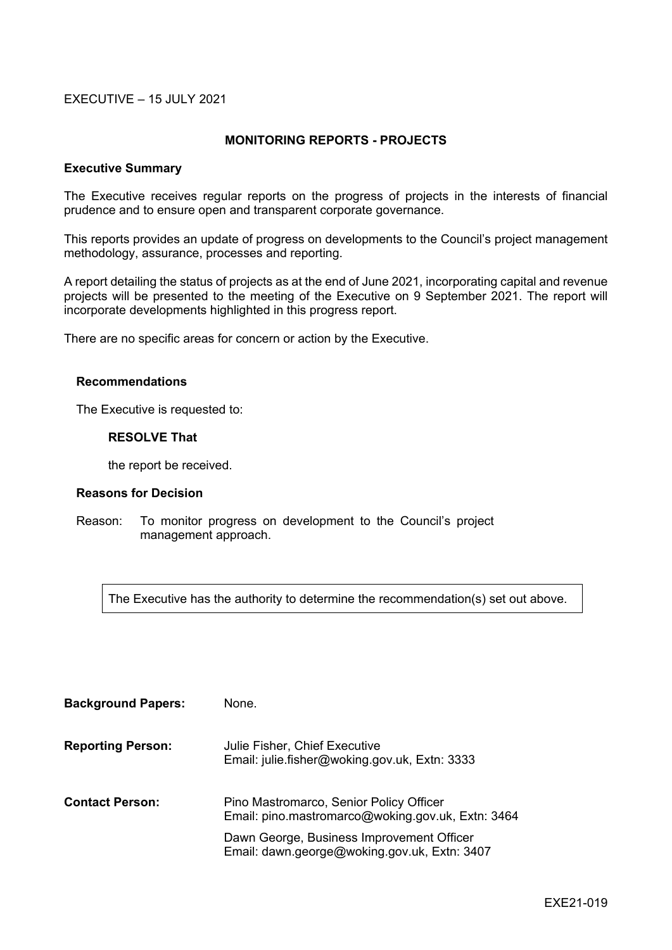#### EXECUTIVE – 15 JULY 2021

#### **MONITORING REPORTS - PROJECTS**

#### **Executive Summary**

The Executive receives regular reports on the progress of projects in the interests of financial prudence and to ensure open and transparent corporate governance.

This reports provides an update of progress on developments to the Council's project management methodology, assurance, processes and reporting.

A report detailing the status of projects as at the end of June 2021, incorporating capital and revenue projects will be presented to the meeting of the Executive on 9 September 2021. The report will incorporate developments highlighted in this progress report.

There are no specific areas for concern or action by the Executive.

#### **Recommendations**

The Executive is requested to:

#### **RESOLVE That**

the report be received.

#### **Reasons for Decision**

Reason: To monitor progress on development to the Council's project management approach.

The Executive has the authority to determine the recommendation(s) set out above.

| <b>Background Papers:</b> | None.                                                                                        |
|---------------------------|----------------------------------------------------------------------------------------------|
| <b>Reporting Person:</b>  | Julie Fisher, Chief Executive<br>Email: julie.fisher@woking.gov.uk, Extn: 3333               |
| <b>Contact Person:</b>    | Pino Mastromarco, Senior Policy Officer<br>Email: pino.mastromarco@woking.gov.uk, Extn: 3464 |
|                           | Dawn George, Business Improvement Officer<br>Email: dawn.george@woking.gov.uk, Extn: 3407    |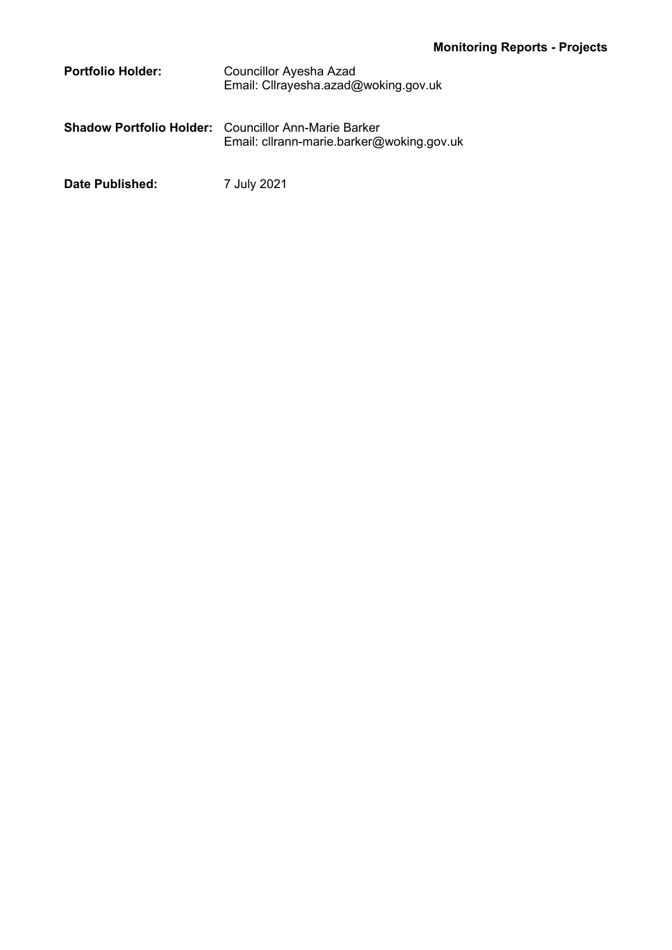| <b>Portfolio Holder:</b> | Councillor Ayesha Azad<br>Email: Cllrayesha.azad@woking.gov.uk                                           |
|--------------------------|----------------------------------------------------------------------------------------------------------|
|                          | <b>Shadow Portfolio Holder:</b> Councillor Ann-Marie Barker<br>Email: cllrann-marie.barker@woking.gov.uk |

**Date Published:** 7 July 2021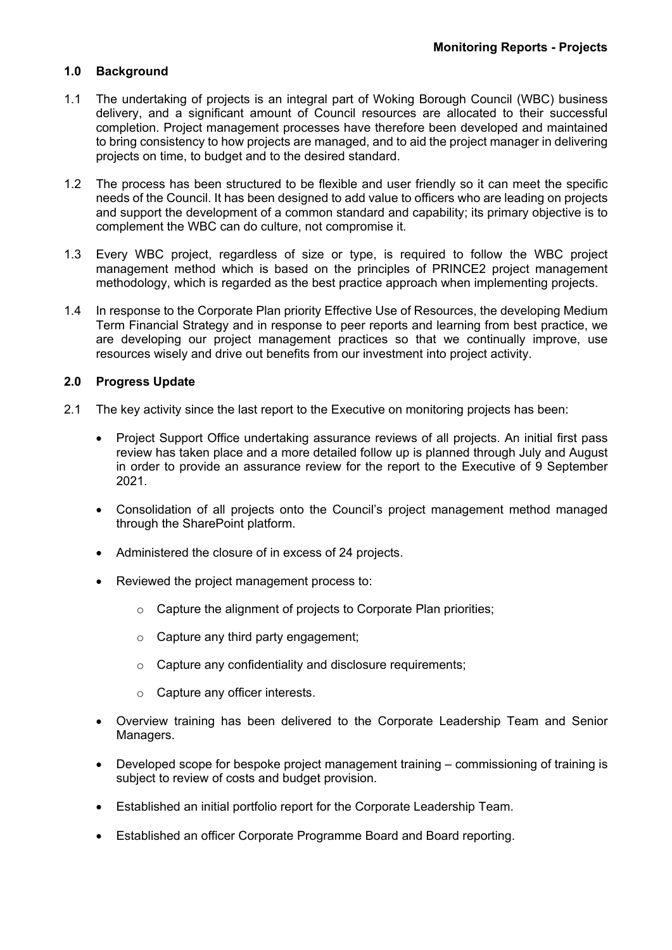# **1.0 Background**

- 1.1 The undertaking of projects is an integral part of Woking Borough Council (WBC) business delivery, and a significant amount of Council resources are allocated to their successful completion. Project management processes have therefore been developed and maintained to bring consistency to how projects are managed, and to aid the project manager in delivering projects on time, to budget and to the desired standard.
- 1.2 The process has been structured to be flexible and user friendly so it can meet the specific needs of the Council. It has been designed to add value to officers who are leading on projects and support the development of a common standard and capability; its primary objective is to complement the WBC can do culture, not compromise it.
- 1.3 Every WBC project, regardless of size or type, is required to follow the WBC project management method which is based on the principles of PRINCE2 project management methodology, which is regarded as the best practice approach when implementing projects.
- 1.4 In response to the Corporate Plan priority Effective Use of Resources, the developing Medium Term Financial Strategy and in response to peer reports and learning from best practice, we are developing our project management practices so that we continually improve, use resources wisely and drive out benefits from our investment into project activity.

# **2.0 Progress Update**

- 2.1 The key activity since the last report to the Executive on monitoring projects has been:
	- Project Support Office undertaking assurance reviews of all projects. An initial first pass review has taken place and a more detailed follow up is planned through July and August in order to provide an assurance review for the report to the Executive of 9 September 2021.
	- Consolidation of all projects onto the Council's project management method managed through the SharePoint platform.
	- Administered the closure of in excess of 24 projects.
	- Reviewed the project management process to:
		- o Capture the alignment of projects to Corporate Plan priorities;
		- $\circ$  Capture any third party engagement;
		- o Capture any confidentiality and disclosure requirements;
		- o Capture any officer interests.
	- Overview training has been delivered to the Corporate Leadership Team and Senior Managers.
	- Developed scope for bespoke project management training commissioning of training is subject to review of costs and budget provision.
	- Established an initial portfolio report for the Corporate Leadership Team.
	- Established an officer Corporate Programme Board and Board reporting.